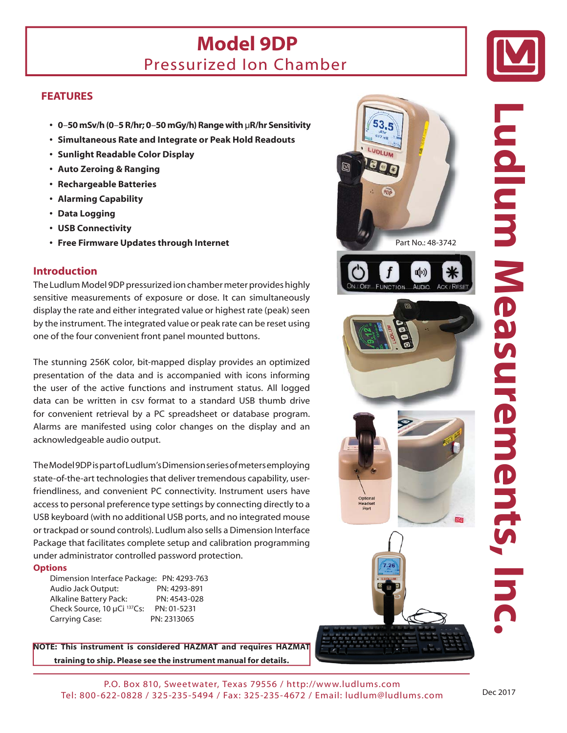## **Model 9DP**  Pressurized Ion Chamber



#### **FEATURES**

- **0**–**50 mSv/h (0**–**5 R/hr; 0**–**50 mGy/h) Range with** μ**R/hr Sensitivity**
- **Simultaneous Rate and Integrate or Peak Hold Readouts**
- **Sunlight Readable Color Display**
- **Auto Zeroing & Ranging**
- **Rechargeable Batteries**
- **Alarming Capability**
- **Data Logging**
- **USB Connectivity**
- **Free Firmware Updates through Internet**

#### **Introduction**

The Ludlum Model 9DP pressurized ion chamber meter provides highly sensitive measurements of exposure or dose. It can simultaneously display the rate and either integrated value or highest rate (peak) seen by the instrument. The integrated value or peak rate can be reset using one of the four convenient front panel mounted buttons.

The stunning 256K color, bit-mapped display provides an optimized presentation of the data and is accompanied with icons informing the user of the active functions and instrument status. All logged data can be written in csv format to a standard USB thumb drive for convenient retrieval by a PC spreadsheet or database program. Alarms are manifested using color changes on the display and an acknowledgeable audio output.

The Model 9DP is part of Ludlum's Dimension series of meters employing state-of-the-art technologies that deliver tremendous capability, userfriendliness, and convenient PC connectivity. Instrument users have access to personal preference type settings by connecting directly to a USB keyboard (with no additional USB ports, and no integrated mouse or trackpad or sound controls). Ludlum also sells a Dimension Interface Package that facilitates complete setup and calibration programming under administrator controlled password protection.

#### **Options**

Dimension Interface Package: PN: 4293-763 Audio Jack Output: PN: 4293-891 Alkaline Battery Pack: PN: 4543-028 Check Source, 10 μCi 137Cs: PN: 01-5231 Carrying Case: PN: 2313065

**NOTE: This instrument is considered HAZMAT and requires HAZMAT training to ship. Please see the instrument manual for details.**





P.O. Box 810, Sweetwater, Texas 79556 / http://www.ludlums.com Tel: 800-622-0828 / 325-235-5494 / Fax: 325-235-4672 / Email: ludlum@ludlums.com